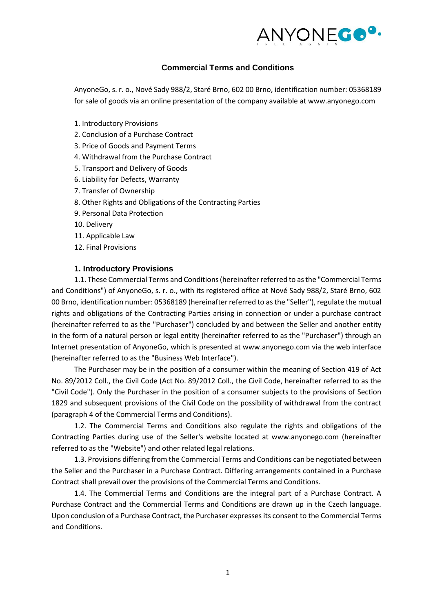

#### **Commercial Terms and Conditions**

AnyoneGo, s. r. o., Nové Sady 988/2, Staré Brno, 602 00 Brno, identification number: 05368189 for sale of goods via an online presentation of the company available at www.anyonego.com

- 1. Introductory Provisions
- 2. Conclusion of a Purchase Contract
- 3. Price of Goods and Payment Terms
- 4. Withdrawal from the Purchase Contract
- 5. Transport and Delivery of Goods
- 6. Liability for Defects, Warranty
- 7. Transfer of Ownership
- 8. Other Rights and Obligations of the Contracting Parties
- 9. Personal Data Protection
- 10. Delivery
- 11. Applicable Law
- 12. Final Provisions

#### **1. Introductory Provisions**

1.1. These Commercial Terms and Conditions (hereinafter referred to as the "Commercial Terms and Conditions") of AnyoneGo, s. r. o., with its registered office at Nové Sady 988/2, Staré Brno, 602 00 Brno, identification number: 05368189 (hereinafter referred to as the "Seller"), regulate the mutual rights and obligations of the Contracting Parties arising in connection or under a purchase contract (hereinafter referred to as the "Purchaser") concluded by and between the Seller and another entity in the form of a natural person or legal entity (hereinafter referred to as the "Purchaser") through an Internet presentation of AnyoneGo, which is presented at www.anyonego.com via the web interface (hereinafter referred to as the "Business Web Interface").

The Purchaser may be in the position of a consumer within the meaning of Section 419 of Act No. 89/2012 Coll., the Civil Code (Act No. 89/2012 Coll., the Civil Code, hereinafter referred to as the "Civil Code"). Only the Purchaser in the position of a consumer subjects to the provisions of Section 1829 and subsequent provisions of the Civil Code on the possibility of withdrawal from the contract (paragraph 4 of the Commercial Terms and Conditions).

1.2. The Commercial Terms and Conditions also regulate the rights and obligations of the Contracting Parties during use of the Seller's website located at www.anyonego.com (hereinafter referred to as the "Website") and other related legal relations.

1.3. Provisions differing from the Commercial Terms and Conditions can be negotiated between the Seller and the Purchaser in a Purchase Contract. Differing arrangements contained in a Purchase Contract shall prevail over the provisions of the Commercial Terms and Conditions.

1.4. The Commercial Terms and Conditions are the integral part of a Purchase Contract. A Purchase Contract and the Commercial Terms and Conditions are drawn up in the Czech language. Upon conclusion of a Purchase Contract, the Purchaser expresses its consent to the Commercial Terms and Conditions.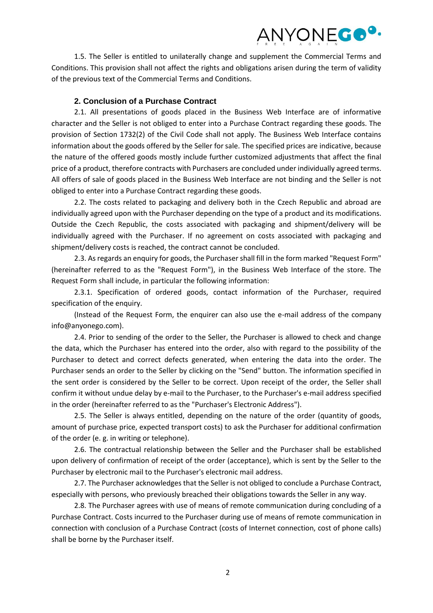1.5. The Seller is entitled to unilaterally change and supplement the Commercial Terms and Conditions. This provision shall not affect the rights and obligations arisen during the term of validity of the previous text of the Commercial Terms and Conditions.

#### **2. Conclusion of a Purchase Contract**

2.1. All presentations of goods placed in the Business Web Interface are of informative character and the Seller is not obliged to enter into a Purchase Contract regarding these goods. The provision of Section 1732(2) of the Civil Code shall not apply. The Business Web Interface contains information about the goods offered by the Seller for sale. The specified prices are indicative, because the nature of the offered goods mostly include further customized adjustments that affect the final price of a product, therefore contracts with Purchasers are concluded under individually agreed terms. All offers of sale of goods placed in the Business Web Interface are not binding and the Seller is not obliged to enter into a Purchase Contract regarding these goods.

2.2. The costs related to packaging and delivery both in the Czech Republic and abroad are individually agreed upon with the Purchaser depending on the type of a product and its modifications. Outside the Czech Republic, the costs associated with packaging and shipment/delivery will be individually agreed with the Purchaser. If no agreement on costs associated with packaging and shipment/delivery costs is reached, the contract cannot be concluded.

2.3. As regards an enquiry for goods, the Purchaser shall fill in the form marked "Request Form" (hereinafter referred to as the "Request Form"), in the Business Web Interface of the store. The Request Form shall include, in particular the following information:

2.3.1. Specification of ordered goods, contact information of the Purchaser, required specification of the enquiry.

(Instead of the Request Form, the enquirer can also use the e-mail address of the company info@anyonego.com).

2.4. Prior to sending of the order to the Seller, the Purchaser is allowed to check and change the data, which the Purchaser has entered into the order, also with regard to the possibility of the Purchaser to detect and correct defects generated, when entering the data into the order. The Purchaser sends an order to the Seller by clicking on the "Send" button. The information specified in the sent order is considered by the Seller to be correct. Upon receipt of the order, the Seller shall confirm it without undue delay by e-mail to the Purchaser, to the Purchaser's e-mail address specified in the order (hereinafter referred to as the "Purchaser's Electronic Address").

2.5. The Seller is always entitled, depending on the nature of the order (quantity of goods, amount of purchase price, expected transport costs) to ask the Purchaser for additional confirmation of the order (e. g. in writing or telephone).

2.6. The contractual relationship between the Seller and the Purchaser shall be established upon delivery of confirmation of receipt of the order (acceptance), which is sent by the Seller to the Purchaser by electronic mail to the Purchaser's electronic mail address.

2.7. The Purchaser acknowledges that the Seller is not obliged to conclude a Purchase Contract, especially with persons, who previously breached their obligations towards the Seller in any way.

2.8. The Purchaser agrees with use of means of remote communication during concluding of a Purchase Contract. Costs incurred to the Purchaser during use of means of remote communication in connection with conclusion of a Purchase Contract (costs of Internet connection, cost of phone calls) shall be borne by the Purchaser itself.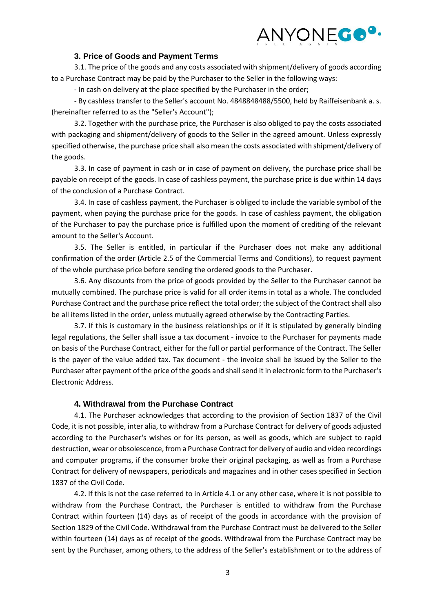#### **3. Price of Goods and Payment Terms**

3.1. The price of the goods and any costs associated with shipment/delivery of goods according to a Purchase Contract may be paid by the Purchaser to the Seller in the following ways:

- In cash on delivery at the place specified by the Purchaser in the order;

- By cashless transfer to the Seller's account No. 4848848488/5500, held by Raiffeisenbank a. s. (hereinafter referred to as the "Seller's Account");

3.2. Together with the purchase price, the Purchaser is also obliged to pay the costs associated with packaging and shipment/delivery of goods to the Seller in the agreed amount. Unless expressly specified otherwise, the purchase price shall also mean the costs associated with shipment/delivery of the goods.

3.3. In case of payment in cash or in case of payment on delivery, the purchase price shall be payable on receipt of the goods. In case of cashless payment, the purchase price is due within 14 days of the conclusion of a Purchase Contract.

3.4. In case of cashless payment, the Purchaser is obliged to include the variable symbol of the payment, when paying the purchase price for the goods. In case of cashless payment, the obligation of the Purchaser to pay the purchase price is fulfilled upon the moment of crediting of the relevant amount to the Seller's Account.

3.5. The Seller is entitled, in particular if the Purchaser does not make any additional confirmation of the order (Article 2.5 of the Commercial Terms and Conditions), to request payment of the whole purchase price before sending the ordered goods to the Purchaser.

3.6. Any discounts from the price of goods provided by the Seller to the Purchaser cannot be mutually combined. The purchase price is valid for all order items in total as a whole. The concluded Purchase Contract and the purchase price reflect the total order; the subject of the Contract shall also be all items listed in the order, unless mutually agreed otherwise by the Contracting Parties.

3.7. If this is customary in the business relationships or if it is stipulated by generally binding legal regulations, the Seller shall issue a tax document - invoice to the Purchaser for payments made on basis of the Purchase Contract, either for the full or partial performance of the Contract. The Seller is the payer of the value added tax. Tax document - the invoice shall be issued by the Seller to the Purchaser after payment of the price of the goods and shall send it in electronic form to the Purchaser's Electronic Address.

## **4. Withdrawal from the Purchase Contract**

4.1. The Purchaser acknowledges that according to the provision of Section 1837 of the Civil Code, it is not possible, inter alia, to withdraw from a Purchase Contract for delivery of goods adjusted according to the Purchaser's wishes or for its person, as well as goods, which are subject to rapid destruction, wear or obsolescence, from a Purchase Contract for delivery of audio and video recordings and computer programs, if the consumer broke their original packaging, as well as from a Purchase Contract for delivery of newspapers, periodicals and magazines and in other cases specified in Section 1837 of the Civil Code.

4.2. If this is not the case referred to in Article 4.1 or any other case, where it is not possible to withdraw from the Purchase Contract, the Purchaser is entitled to withdraw from the Purchase Contract within fourteen (14) days as of receipt of the goods in accordance with the provision of Section 1829 of the Civil Code. Withdrawal from the Purchase Contract must be delivered to the Seller within fourteen (14) days as of receipt of the goods. Withdrawal from the Purchase Contract may be sent by the Purchaser, among others, to the address of the Seller's establishment or to the address of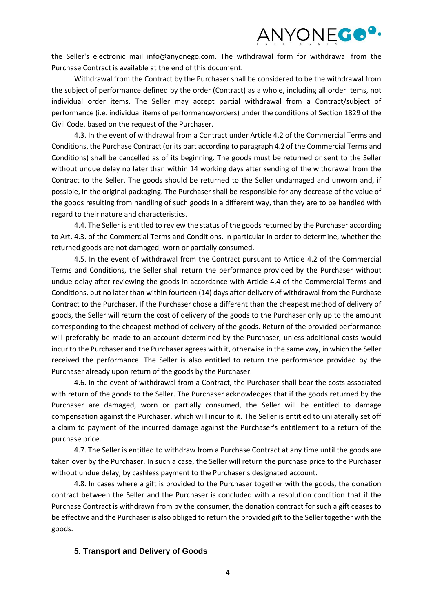

the Seller's electronic mail info@anyonego.com. The withdrawal form for withdrawal from the Purchase Contract is available at the end of this document.

Withdrawal from the Contract by the Purchaser shall be considered to be the withdrawal from the subject of performance defined by the order (Contract) as a whole, including all order items, not individual order items. The Seller may accept partial withdrawal from a Contract/subject of performance (i.e. individual items of performance/orders) under the conditions of Section 1829 of the Civil Code, based on the request of the Purchaser.

4.3. In the event of withdrawal from a Contract under Article 4.2 of the Commercial Terms and Conditions, the Purchase Contract (or its part according to paragraph 4.2 of the Commercial Terms and Conditions) shall be cancelled as of its beginning. The goods must be returned or sent to the Seller without undue delay no later than within 14 working days after sending of the withdrawal from the Contract to the Seller. The goods should be returned to the Seller undamaged and unworn and, if possible, in the original packaging. The Purchaser shall be responsible for any decrease of the value of the goods resulting from handling of such goods in a different way, than they are to be handled with regard to their nature and characteristics.

4.4. The Seller is entitled to review the status of the goods returned by the Purchaser according to Art. 4.3. of the Commercial Terms and Conditions, in particular in order to determine, whether the returned goods are not damaged, worn or partially consumed.

4.5. In the event of withdrawal from the Contract pursuant to Article 4.2 of the Commercial Terms and Conditions, the Seller shall return the performance provided by the Purchaser without undue delay after reviewing the goods in accordance with Article 4.4 of the Commercial Terms and Conditions, but no later than within fourteen (14) days after delivery of withdrawal from the Purchase Contract to the Purchaser. If the Purchaser chose a different than the cheapest method of delivery of goods, the Seller will return the cost of delivery of the goods to the Purchaser only up to the amount corresponding to the cheapest method of delivery of the goods. Return of the provided performance will preferably be made to an account determined by the Purchaser, unless additional costs would incur to the Purchaser and the Purchaser agrees with it, otherwise in the same way, in which the Seller received the performance. The Seller is also entitled to return the performance provided by the Purchaser already upon return of the goods by the Purchaser.

4.6. In the event of withdrawal from a Contract, the Purchaser shall bear the costs associated with return of the goods to the Seller. The Purchaser acknowledges that if the goods returned by the Purchaser are damaged, worn or partially consumed, the Seller will be entitled to damage compensation against the Purchaser, which will incur to it. The Seller is entitled to unilaterally set off a claim to payment of the incurred damage against the Purchaser's entitlement to a return of the purchase price.

4.7. The Seller is entitled to withdraw from a Purchase Contract at any time until the goods are taken over by the Purchaser. In such a case, the Seller will return the purchase price to the Purchaser without undue delay, by cashless payment to the Purchaser's designated account.

4.8. In cases where a gift is provided to the Purchaser together with the goods, the donation contract between the Seller and the Purchaser is concluded with a resolution condition that if the Purchase Contract is withdrawn from by the consumer, the donation contract for such a gift ceases to be effective and the Purchaser is also obliged to return the provided gift to the Seller together with the goods.

#### **5. Transport and Delivery of Goods**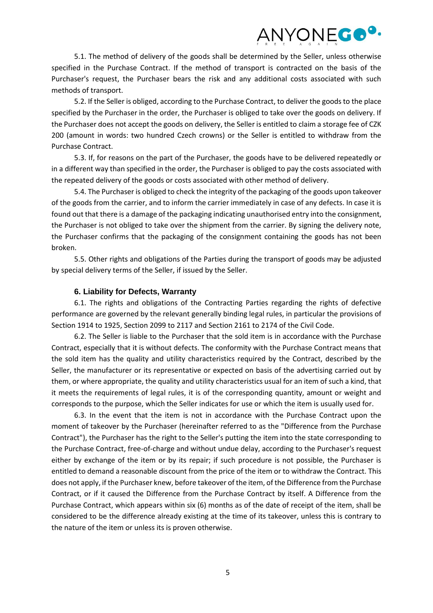5.1. The method of delivery of the goods shall be determined by the Seller, unless otherwise specified in the Purchase Contract. If the method of transport is contracted on the basis of the Purchaser's request, the Purchaser bears the risk and any additional costs associated with such methods of transport.

5.2. If the Seller is obliged, according to the Purchase Contract, to deliver the goods to the place specified by the Purchaser in the order, the Purchaser is obliged to take over the goods on delivery. If the Purchaser does not accept the goods on delivery, the Seller is entitled to claim a storage fee of CZK 200 (amount in words: two hundred Czech crowns) or the Seller is entitled to withdraw from the Purchase Contract.

5.3. If, for reasons on the part of the Purchaser, the goods have to be delivered repeatedly or in a different way than specified in the order, the Purchaser is obliged to pay the costs associated with the repeated delivery of the goods or costs associated with other method of delivery.

5.4. The Purchaser is obliged to check the integrity of the packaging of the goods upon takeover of the goods from the carrier, and to inform the carrier immediately in case of any defects. In case it is found out that there is a damage of the packaging indicating unauthorised entry into the consignment, the Purchaser is not obliged to take over the shipment from the carrier. By signing the delivery note, the Purchaser confirms that the packaging of the consignment containing the goods has not been broken.

5.5. Other rights and obligations of the Parties during the transport of goods may be adjusted by special delivery terms of the Seller, if issued by the Seller.

## **6. Liability for Defects, Warranty**

6.1. The rights and obligations of the Contracting Parties regarding the rights of defective performance are governed by the relevant generally binding legal rules, in particular the provisions of Section 1914 to 1925, Section 2099 to 2117 and Section 2161 to 2174 of the Civil Code.

6.2. The Seller is liable to the Purchaser that the sold item is in accordance with the Purchase Contract, especially that it is without defects. The conformity with the Purchase Contract means that the sold item has the quality and utility characteristics required by the Contract, described by the Seller, the manufacturer or its representative or expected on basis of the advertising carried out by them, or where appropriate, the quality and utility characteristics usual for an item of such a kind, that it meets the requirements of legal rules, it is of the corresponding quantity, amount or weight and corresponds to the purpose, which the Seller indicates for use or which the item is usually used for.

6.3. In the event that the item is not in accordance with the Purchase Contract upon the moment of takeover by the Purchaser (hereinafter referred to as the "Difference from the Purchase Contract"), the Purchaser has the right to the Seller's putting the item into the state corresponding to the Purchase Contract, free-of-charge and without undue delay, according to the Purchaser's request either by exchange of the item or by its repair; if such procedure is not possible, the Purchaser is entitled to demand a reasonable discount from the price of the item or to withdraw the Contract. This does not apply, if the Purchaser knew, before takeover of the item, of the Difference from the Purchase Contract, or if it caused the Difference from the Purchase Contract by itself. A Difference from the Purchase Contract, which appears within six (6) months as of the date of receipt of the item, shall be considered to be the difference already existing at the time of its takeover, unless this is contrary to the nature of the item or unless its is proven otherwise.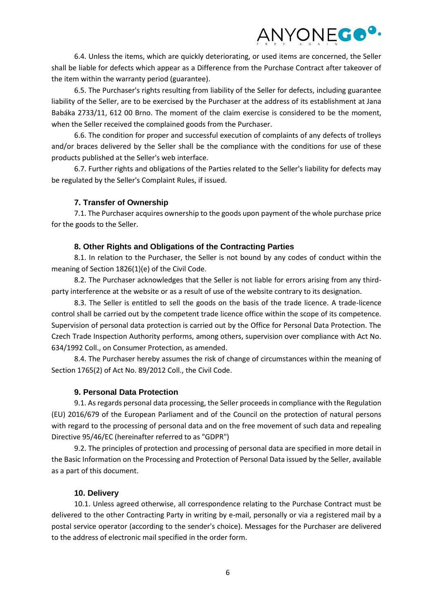6.4. Unless the items, which are quickly deteriorating, or used items are concerned, the Seller shall be liable for defects which appear as a Difference from the Purchase Contract after takeover of the item within the warranty period (guarantee).

6.5. The Purchaser's rights resulting from liability of the Seller for defects, including guarantee liability of the Seller, are to be exercised by the Purchaser at the address of its establishment at Jana Babáka 2733/11, 612 00 Brno. The moment of the claim exercise is considered to be the moment, when the Seller received the complained goods from the Purchaser.

6.6. The condition for proper and successful execution of complaints of any defects of trolleys and/or braces delivered by the Seller shall be the compliance with the conditions for use of these products published at the Seller's web interface.

6.7. Further rights and obligations of the Parties related to the Seller's liability for defects may be regulated by the Seller's Complaint Rules, if issued.

## **7. Transfer of Ownership**

7.1. The Purchaser acquires ownership to the goods upon payment of the whole purchase price for the goods to the Seller.

## **8. Other Rights and Obligations of the Contracting Parties**

8.1. In relation to the Purchaser, the Seller is not bound by any codes of conduct within the meaning of Section 1826(1)(e) of the Civil Code.

8.2. The Purchaser acknowledges that the Seller is not liable for errors arising from any thirdparty interference at the website or as a result of use of the website contrary to its designation.

8.3. The Seller is entitled to sell the goods on the basis of the trade licence. A trade-licence control shall be carried out by the competent trade licence office within the scope of its competence. Supervision of personal data protection is carried out by the Office for Personal Data Protection. The Czech Trade Inspection Authority performs, among others, supervision over compliance with Act No. 634/1992 Coll., on Consumer Protection, as amended.

8.4. The Purchaser hereby assumes the risk of change of circumstances within the meaning of Section 1765(2) of Act No. 89/2012 Coll., the Civil Code.

## **9. Personal Data Protection**

9.1. As regards personal data processing, the Seller proceeds in compliance with the Regulation (EU) 2016/679 of the European Parliament and of the Council on the protection of natural persons with regard to the processing of personal data and on the free movement of such data and repealing Directive 95/46/EC (hereinafter referred to as "GDPR")

9.2. The principles of protection and processing of personal data are specified in more detail in the Basic Information on the Processing and Protection of Personal Data issued by the Seller, available as a part of this document.

## **10. Delivery**

10.1. Unless agreed otherwise, all correspondence relating to the Purchase Contract must be delivered to the other Contracting Party in writing by e-mail, personally or via a registered mail by a postal service operator (according to the sender's choice). Messages for the Purchaser are delivered to the address of electronic mail specified in the order form.